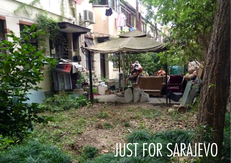## $N_{\rm eff}$  and the support of the support of the support of the support of the support of the  $K$

A

. .

. .

--